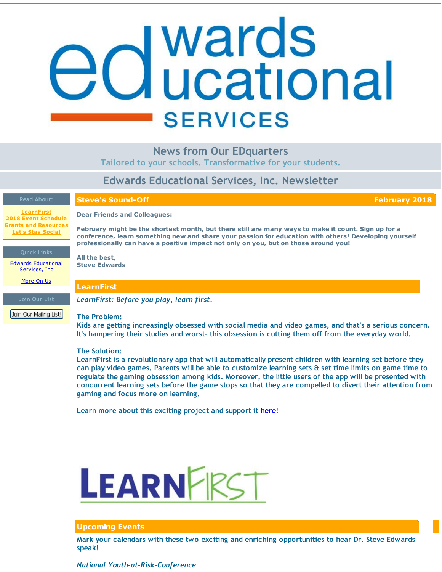# <span id="page-0-0"></span>**d** wards<br> **C** ucational **SERVICES**

## **News from Our EDquarters**

**Tailored to your schools. Transformative for your students.**

# **Edwards Educational Services, Inc. Newsletter**

**Steve's Sound-Off February 2018**

**[LearnFirst](#page-0-0) 2018 Event [Schedule](#page-0-0) Grants and [Resources](#page-0-0) Let's Stay [Social](#page-0-0)**

**Dear Friends and Colleagues:**

*LearnFirst: Before you play, learn first.*

February might be the shortest month, but there still are many ways to make it count. Sign up for a **conference, learn something new and share your passion for education with others! Developing yourself professionally can have a positive impact not only on you, but on those around you!**

#### **Quick Links**

Edwards [Educational](http://r20.rs6.net/tn.jsp?f=0016y3xeBcRLuyIgEPQUPnRwyh9ve-p4v22KLUaZcpo00IeZ3Nl6kMIpxtOyXtP2pLNbn3Q6yPfo38ARBZezoHYYm5ViWqMJ9lxnHP0qprl0TNkPGu4jOy5_IZFkWGYW4ipBqR82FM3eS2kIfzcySYq8JTH5YYNbdVRkLGHWpeO4qliSKLe56w67A==&c=&ch=) Services, Inc.

[More](http://r20.rs6.net/tn.jsp?f=0016y3xeBcRLuyIgEPQUPnRwyh9ve-p4v22KLUaZcpo00IeZ3Nl6kMIp7rlh55pAQw3TOpFEgCyb0luLs9ReuhBB2nPfXN0621Ncvq2eYdsWdruWUqOpKnn7Eeuc_1wJk7iTDNl51-19TpdzSbL5irohYl2fb81zALUJmO2KbHf2rDo1FUYlXsVOF23YcLammAN&c=&ch=) On Us

**Join Our List**

Join Our Mailing List!

### **The Problem:**

**All the best, Steve Edwards**

**LearnFirst**

**Kids are getting increasingly obsessed with social media and video games, and that's a serious concern. It's hampering their studies and worst- this obsession is cutting them off from the everyday world.**

#### **The Solution:**

**LearnFirst is a revolutionary app that will automatically present children with learning set before they** can play video games. Parents will be able to customize learning sets & set time limits on game time to **regulate the gaming obsession among kids. Moreover, the little users of the app will be presented with concurrent learning sets before the game stops so that they are compelled to divert their attention from gaming and focus more on learning.**

**Learn more about this exciting project and support it [here](http://r20.rs6.net/tn.jsp?f=0016y3xeBcRLuyIgEPQUPnRwyh9ve-p4v22KLUaZcpo00IeZ3Nl6kMIp24HHqrEM2V1EbAnvmf4yxuFQU25V0f-Op_Iq5m3BdpIs_938At5ODgjqLVt7GuOGTYSBid-wE3tahgAzUtTug9iU61kmCwyc8nIlz7I0fv9LJqgzlGaAvntSDRzEkqzf40bJZ4cRbqDSgPiwwxXg1yIe04DXzr6uFqhZPbUJ_O1-Gtu2RQ736Ve-7lP5kuJBdULFUBQmeZXrWxcuIPVisbXCY1X6uCdFxjgmNPzt7JB&c=&ch=)!**



#### **Upcoming Events**

**Mark your calendars with these two exciting and enriching opportunities to hear Dr. Steve Edwards speak!**

#### *National Youth-at-Risk-Conference*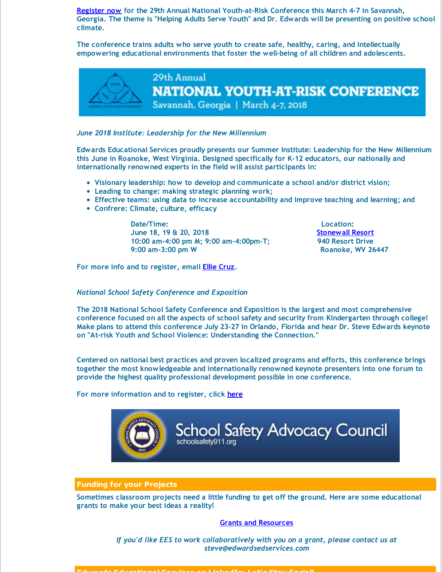**[Register](http://r20.rs6.net/tn.jsp?f=0016y3xeBcRLuyIgEPQUPnRwyh9ve-p4v22KLUaZcpo00IeZ3Nl6kMIp5h7i08THPjxf7D7qs5L0M1e3f6LnycUV0cecIY1HBqsRJOkTuwEBuES1LocPNccZl3GLftRhFHkshb2IN160slwj2mkSxCc7pX75AY-IdFvIvLbCJGIbBpL7BBEgZMpJhCNh4_5CaRt-64JSdk_gOLra7HdlNNoIJZ6bGvnPAUaNneOLesSFrI=&c=&ch=) now for the 29th Annual National Youth-at-Risk Conference this March 4-7 in Savannah, Georgia. The theme is "Helping Adults Serve Youth" and Dr. Edwards will be presenting on positive school climate.**

**The conference trains adults who serve youth to create safe, healthy, caring, and intellectually empowering educational environments that foster the well-being of all children and adolescents.**



#### *June 2018 Institute: Leadership for the New Millennium*

**Edwards Educational Services proudly presents our Summer Institute: Leadership for the New Millennium this June in Roanoke, West Virginia. Designed specifically for K-12 educators, our nationally and internationally renowned experts in the field will assist participants in:**

- **Visionary leadership: how to develop and communicate a school and/or district vision;**
- **Leading to change: making strategic planning work;**
- **Effective teams: using data to increase accountability and improve teaching and learning; and**
- **Confrere: Climate, culture, efficacy**

**Date/Time: Location: June 18, 19 & 20, 2018 [Stonewall](http://r20.rs6.net/tn.jsp?f=0016y3xeBcRLuyIgEPQUPnRwyh9ve-p4v22KLUaZcpo00IeZ3Nl6kMIp24HHqrEM2V1vXNC0qzI8ce_n3oCG4SMh4MqbrA0920FI4CHt-CP3awEEZZRCUXu3n-wSVi_Hr7EeKwd_j84w-qpQt9kjlD0Vafg361ayIPwpi8HvYvbLT0EBhtC4niKxg==&c=&ch=) Resort 10:00 am-4:00 pm M; 9:00 am-4:00pm-T; 940 Resort Drive 9:00 am-3:00 pm W Roanoke, WV 26447**

**For more info and to register, email Ellie [Cruz](mailto:ellie@edwardsedservices.com).**

#### *National School Safety Conference and Exposition*

**The 2018 National School Safety Conference and Exposition is the largest and most comprehensive conference focused on all the aspects of school safety and security from Kindergarten through college! Make plans to attend this conference July 23-27 in Orlando, Florida and hear Dr. Steve Edwards keynote on "At-risk Youth and School Violence: Understanding the Connection."**

**Centered on national best practices and proven localized programs and efforts, this conference brings together the most knowledgeable and internationally renowned keynote presenters into one forum to provide the highest quality professional development possible in one conference.**

**For more information and to register, click [here](http://r20.rs6.net/tn.jsp?f=0016y3xeBcRLuyIgEPQUPnRwyh9ve-p4v22KLUaZcpo00IeZ3Nl6kMIp-L314fqwH0glJAga8-EuQIdUnOJ-__nQbUqUX_c0C0AvGZ6TzSullIThuAOFOf8VBZN9sqzsWqeDqKiM5NvQEm9oMx38r2GIHoaRgsbC-j3TfHFPPYmabf_zH7pcIXHDu6FodwU1jXg&c=&ch=)**



#### **Funding for your Projects**

**Sometimes classroom projects need a little funding to get off the ground. Here are some educational grants to make your best ideas a reality!**

#### **Grants and [Resources](http://r20.rs6.net/tn.jsp?f=0016y3xeBcRLuyIgEPQUPnRwyh9ve-p4v22KLUaZcpo00IeZ3Nl6kMIp80BdWpgSoxyP1K6CTfyifCGmMNH-EtxrdT2UuVX1irJk_NHCE_cSdrm2_OYCkaqi9eAgosHEkjaWS5ghAICGo5LrTBeqFEsl3ni3xsT7g-7-i0eoJFqGgqVEiJbIwFrt9AjNfidVmI9zYMp9gdtbJ5RAzpQuWl3V-iBxRITuYIfhUjMFcyefpZpzh4j8UL1wmeQk0ZBL-YXMnF4qHOUuqw=&c=&ch=)**

*If you'd like EES to work collaboratively with you on a grant, please contact us at steve@edwardsedservices.com*

**Edwards Educational Services on LinkedIn: Let's Stay Social!**